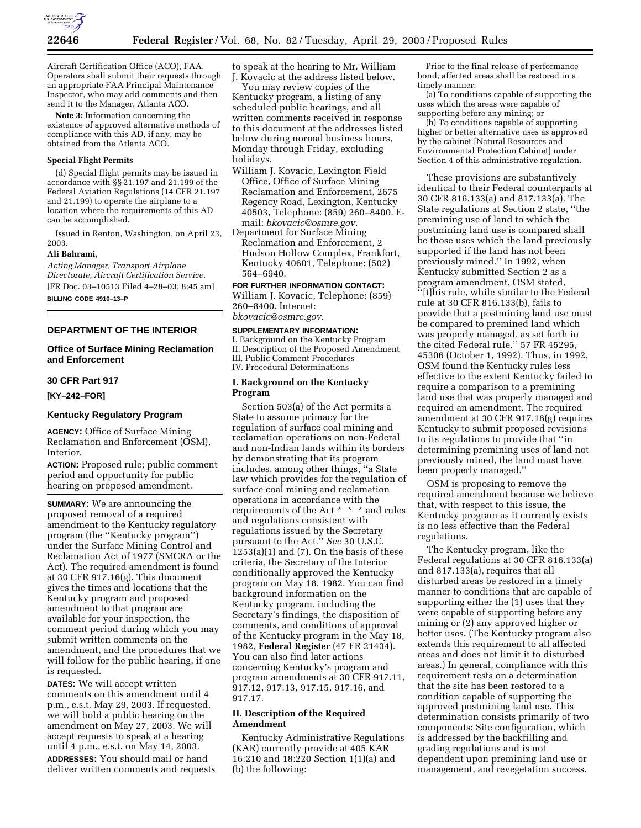

Aircraft Certification Office (ACO), FAA. Operators shall submit their requests through an appropriate FAA Principal Maintenance Inspector, who may add comments and then send it to the Manager, Atlanta ACO.

**Note 3:** Information concerning the existence of approved alternative methods of compliance with this AD, if any, may be obtained from the Atlanta ACO.

### **Special Flight Permits**

(d) Special flight permits may be issued in accordance with §§ 21.197 and 21.199 of the Federal Aviation Regulations (14 CFR 21.197 and 21.199) to operate the airplane to a location where the requirements of this AD can be accomplished.

Issued in Renton, Washington, on April 23, 2003.

### **Ali Bahrami,**

*Acting Manager, Transport Airplane Directorate, Aircraft Certification Service.* [FR Doc. 03–10513 Filed 4–28–03; 8:45 am] **BILLING CODE 4910–13–P**

### **DEPARTMENT OF THE INTERIOR**

# **Office of Surface Mining Reclamation and Enforcement**

#### **30 CFR Part 917**

### **[KY–242–FOR]**

## **Kentucky Regulatory Program**

**AGENCY:** Office of Surface Mining Reclamation and Enforcement (OSM), Interior.

**ACTION:** Proposed rule; public comment period and opportunity for public hearing on proposed amendment.

**SUMMARY:** We are announcing the proposed removal of a required amendment to the Kentucky regulatory program (the ''Kentucky program'') under the Surface Mining Control and Reclamation Act of 1977 (SMCRA or the Act). The required amendment is found at 30 CFR 917.16(g). This document gives the times and locations that the Kentucky program and proposed amendment to that program are available for your inspection, the comment period during which you may submit written comments on the amendment, and the procedures that we will follow for the public hearing, if one is requested.

**DATES:** We will accept written comments on this amendment until 4 p.m., e.s.t. May 29, 2003. If requested, we will hold a public hearing on the amendment on May 27, 2003. We will accept requests to speak at a hearing until 4 p.m., e.s.t. on May 14, 2003. **ADDRESSES:** You should mail or hand deliver written comments and requests

to speak at the hearing to Mr. William J. Kovacic at the address listed below.

You may review copies of the Kentucky program, a listing of any scheduled public hearings, and all written comments received in response to this document at the addresses listed below during normal business hours, Monday through Friday, excluding holidays.

- William J. Kovacic, Lexington Field Office, Office of Surface Mining Reclamation and Enforcement, 2675 Regency Road, Lexington, Kentucky 40503, Telephone: (859) 260–8400. Email: *bkovacic@osmre.gov.*
- Department for Surface Mining Reclamation and Enforcement, 2 Hudson Hollow Complex, Frankfort, Kentucky 40601, Telephone: (502) 564–6940.

**FOR FURTHER INFORMATION CONTACT:**

William J. Kovacic, Telephone: (859) 260–8400. Internet: *bkovacic@osmre.gov.*

#### **SUPPLEMENTARY INFORMATION:**

I. Background on the Kentucky Program II. Description of the Proposed Amendment III. Public Comment Procedures IV. Procedural Determinations

#### **I. Background on the Kentucky Program**

Section 503(a) of the Act permits a State to assume primacy for the regulation of surface coal mining and reclamation operations on non-Federal and non-Indian lands within its borders by demonstrating that its program includes, among other things, ''a State law which provides for the regulation of surface coal mining and reclamation operations in accordance with the requirements of the Act \* \* \* and rules and regulations consistent with regulations issued by the Secretary pursuant to the Act.'' *See* 30 U.S.C.  $1253(a)(1)$  and  $(7)$ . On the basis of these criteria, the Secretary of the Interior conditionally approved the Kentucky program on May 18, 1982. You can find background information on the Kentucky program, including the Secretary's findings, the disposition of comments, and conditions of approval of the Kentucky program in the May 18, 1982, **Federal Register** (47 FR 21434). You can also find later actions concerning Kentucky's program and program amendments at 30 CFR 917.11, 917.12, 917.13, 917.15, 917.16, and 917.17.

# **II. Description of the Required Amendment**

Kentucky Administrative Regulations (KAR) currently provide at 405 KAR 16:210 and 18:220 Section 1(1)(a) and (b) the following:

Prior to the final release of performance bond, affected areas shall be restored in a timely manner:

(a) To conditions capable of supporting the uses which the areas were capable of supporting before any mining; or

(b) To conditions capable of supporting higher or better alternative uses as approved by the cabinet [Natural Resources and Environmental Protection Cabinet] under Section 4 of this administrative regulation.

These provisions are substantively identical to their Federal counterparts at 30 CFR 816.133(a) and 817.133(a). The State regulations at Section 2 state, ''the premining use of land to which the postmining land use is compared shall be those uses which the land previously supported if the land has not been previously mined.'' In 1992, when Kentucky submitted Section 2 as a program amendment, OSM stated, ''[t]his rule, while similar to the Federal rule at 30 CFR 816.133(b), fails to provide that a postmining land use must be compared to premined land which was properly managed, as set forth in the cited Federal rule.'' 57 FR 45295, 45306 (October 1, 1992). Thus, in 1992, OSM found the Kentucky rules less effective to the extent Kentucky failed to require a comparison to a premining land use that was properly managed and required an amendment. The required amendment at 30 CFR 917.16(g) requires Kentucky to submit proposed revisions to its regulations to provide that ''in determining premining uses of land not previously mined, the land must have been properly managed.''

OSM is proposing to remove the required amendment because we believe that, with respect to this issue, the Kentucky program as it currently exists is no less effective than the Federal regulations.

The Kentucky program, like the Federal regulations at 30 CFR 816.133(a) and 817.133(a), requires that all disturbed areas be restored in a timely manner to conditions that are capable of supporting either the (1) uses that they were capable of supporting before any mining or (2) any approved higher or better uses. (The Kentucky program also extends this requirement to all affected areas and does not limit it to disturbed areas.) In general, compliance with this requirement rests on a determination that the site has been restored to a condition capable of supporting the approved postmining land use. This determination consists primarily of two components: Site configuration, which is addressed by the backfilling and grading regulations and is not dependent upon premining land use or management, and revegetation success.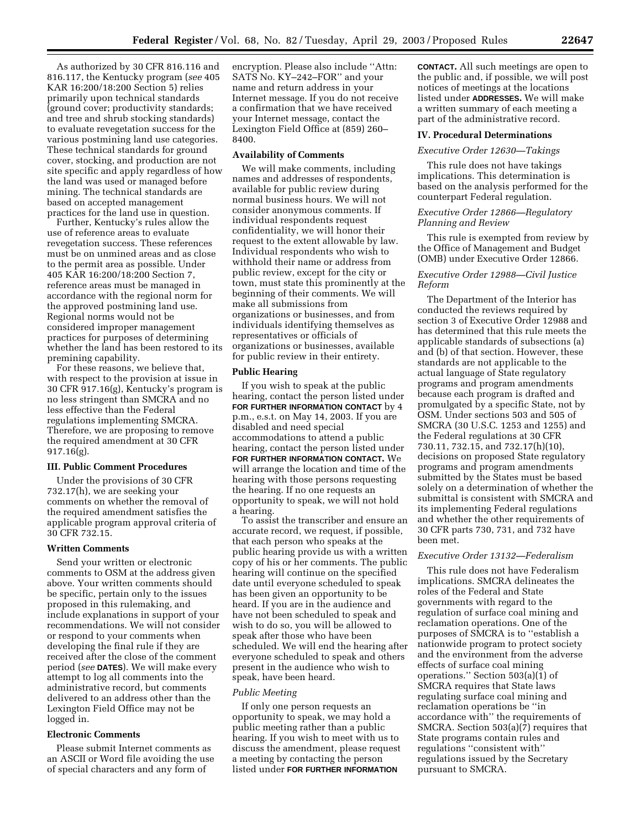As authorized by 30 CFR 816.116 and 816.117, the Kentucky program (*see* 405 KAR 16:200/18:200 Section 5) relies primarily upon technical standards (ground cover; productivity standards; and tree and shrub stocking standards) to evaluate revegetation success for the various postmining land use categories. These technical standards for ground cover, stocking, and production are not site specific and apply regardless of how the land was used or managed before mining. The technical standards are based on accepted management practices for the land use in question.

Further, Kentucky's rules allow the use of reference areas to evaluate revegetation success. These references must be on unmined areas and as close to the permit area as possible. Under 405 KAR 16:200/18:200 Section 7, reference areas must be managed in accordance with the regional norm for the approved postmining land use. Regional norms would not be considered improper management practices for purposes of determining whether the land has been restored to its premining capability.

For these reasons, we believe that, with respect to the provision at issue in 30 CFR 917.16(g), Kentucky's program is no less stringent than SMCRA and no less effective than the Federal regulations implementing SMCRA. Therefore, we are proposing to remove the required amendment at 30 CFR 917.16(g).

#### **III. Public Comment Procedures**

Under the provisions of 30 CFR 732.17(h), we are seeking your comments on whether the removal of the required amendment satisfies the applicable program approval criteria of 30 CFR 732.15.

#### **Written Comments**

Send your written or electronic comments to OSM at the address given above. Your written comments should be specific, pertain only to the issues proposed in this rulemaking, and include explanations in support of your recommendations. We will not consider or respond to your comments when developing the final rule if they are received after the close of the comment period (*see* **DATES**). We will make every attempt to log all comments into the administrative record, but comments delivered to an address other than the Lexington Field Office may not be logged in.

# **Electronic Comments**

Please submit Internet comments as an ASCII or Word file avoiding the use of special characters and any form of

encryption. Please also include ''Attn: SATS No. KY–242–FOR'' and your name and return address in your Internet message. If you do not receive a confirmation that we have received your Internet message, contact the Lexington Field Office at (859) 260– 8400.

#### **Availability of Comments**

We will make comments, including names and addresses of respondents, available for public review during normal business hours. We will not consider anonymous comments. If individual respondents request confidentiality, we will honor their request to the extent allowable by law. Individual respondents who wish to withhold their name or address from public review, except for the city or town, must state this prominently at the beginning of their comments. We will make all submissions from organizations or businesses, and from individuals identifying themselves as representatives or officials of organizations or businesses, available for public review in their entirety.

#### **Public Hearing**

If you wish to speak at the public hearing, contact the person listed under **FOR FURTHER INFORMATION CONTACT** by 4 p.m., e.s.t. on May 14, 2003. If you are disabled and need special accommodations to attend a public hearing, contact the person listed under **FOR FURTHER INFORMATION CONTACT.** We will arrange the location and time of the hearing with those persons requesting the hearing. If no one requests an opportunity to speak, we will not hold a hearing.

To assist the transcriber and ensure an accurate record, we request, if possible, that each person who speaks at the public hearing provide us with a written copy of his or her comments. The public hearing will continue on the specified date until everyone scheduled to speak has been given an opportunity to be heard. If you are in the audience and have not been scheduled to speak and wish to do so, you will be allowed to speak after those who have been scheduled. We will end the hearing after everyone scheduled to speak and others present in the audience who wish to speak, have been heard.

#### *Public Meeting*

If only one person requests an opportunity to speak, we may hold a public meeting rather than a public hearing. If you wish to meet with us to discuss the amendment, please request a meeting by contacting the person listed under **FOR FURTHER INFORMATION**

**CONTACT.** All such meetings are open to the public and, if possible, we will post notices of meetings at the locations listed under **ADDRESSES.** We will make a written summary of each meeting a part of the administrative record.

#### **IV. Procedural Determinations**

#### *Executive Order 12630—Takings*

This rule does not have takings implications. This determination is based on the analysis performed for the counterpart Federal regulation.

# *Executive Order 12866—Regulatory Planning and Review*

This rule is exempted from review by the Office of Management and Budget (OMB) under Executive Order 12866.

#### *Executive Order 12988—Civil Justice Reform*

The Department of the Interior has conducted the reviews required by section 3 of Executive Order 12988 and has determined that this rule meets the applicable standards of subsections (a) and (b) of that section. However, these standards are not applicable to the actual language of State regulatory programs and program amendments because each program is drafted and promulgated by a specific State, not by OSM. Under sections 503 and 505 of SMCRA (30 U.S.C. 1253 and 1255) and the Federal regulations at 30 CFR 730.11, 732.15, and 732.17(h)(10), decisions on proposed State regulatory programs and program amendments submitted by the States must be based solely on a determination of whether the submittal is consistent with SMCRA and its implementing Federal regulations and whether the other requirements of 30 CFR parts 730, 731, and 732 have been met.

#### *Executive Order 13132—Federalism*

This rule does not have Federalism implications. SMCRA delineates the roles of the Federal and State governments with regard to the regulation of surface coal mining and reclamation operations. One of the purposes of SMCRA is to ''establish a nationwide program to protect society and the environment from the adverse effects of surface coal mining operations.'' Section 503(a)(1) of SMCRA requires that State laws regulating surface coal mining and reclamation operations be ''in accordance with'' the requirements of SMCRA. Section 503(a)(7) requires that State programs contain rules and regulations ''consistent with'' regulations issued by the Secretary pursuant to SMCRA.